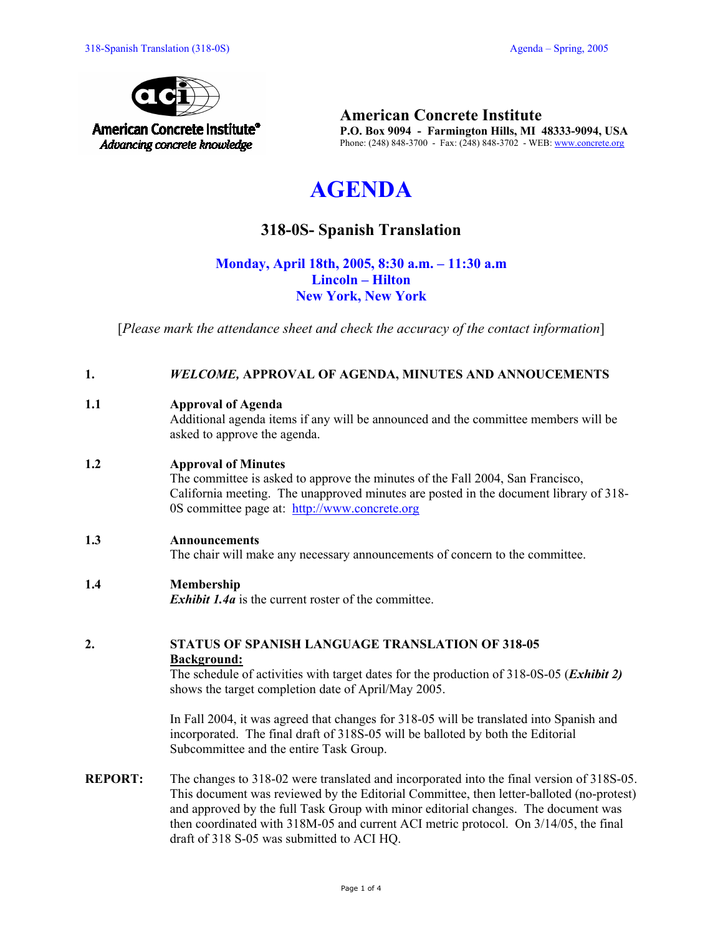

**American Concrete Institute P.O. Box 9094 - Farmington Hills, MI 48333-9094, USA**  Phone: (248) 848-3700 - Fax: (248) 848-3702 - WEB: www.concrete.org

# **AGENDA**

# **318-0S- Spanish Translation**

# **Monday, April 18th, 2005, 8:30 a.m. – 11:30 a.m Lincoln – Hilton New York, New York**

[*Please mark the attendance sheet and check the accuracy of the contact information*]

#### **1.** *WELCOME,* **APPROVAL OF AGENDA, MINUTES AND ANNOUCEMENTS**

## **1.1 Approval of Agenda**

Additional agenda items if any will be announced and the committee members will be asked to approve the agenda.

## **1.2 Approval of Minutes**

The committee is asked to approve the minutes of the Fall 2004, San Francisco, California meeting. The unapproved minutes are posted in the document library of 318- 0S committee page at: http://www.concrete.org

#### **1.3 Announcements**

The chair will make any necessary announcements of concern to the committee.

#### **1.4 Membership**

*Exhibit 1.4a* is the current roster of the committee.

#### **2. STATUS OF SPANISH LANGUAGE TRANSLATION OF 318-05 Background:**

The schedule of activities with target dates for the production of 318-0S-05 (*Exhibit 2)* shows the target completion date of April/May 2005.

In Fall 2004, it was agreed that changes for 318-05 will be translated into Spanish and incorporated. The final draft of 318S-05 will be balloted by both the Editorial Subcommittee and the entire Task Group.

**REPORT:** The changes to 318-02 were translated and incorporated into the final version of 318S-05. This document was reviewed by the Editorial Committee, then letter-balloted (no-protest) and approved by the full Task Group with minor editorial changes. The document was then coordinated with 318M-05 and current ACI metric protocol. On 3/14/05, the final draft of 318 S-05 was submitted to ACI HQ.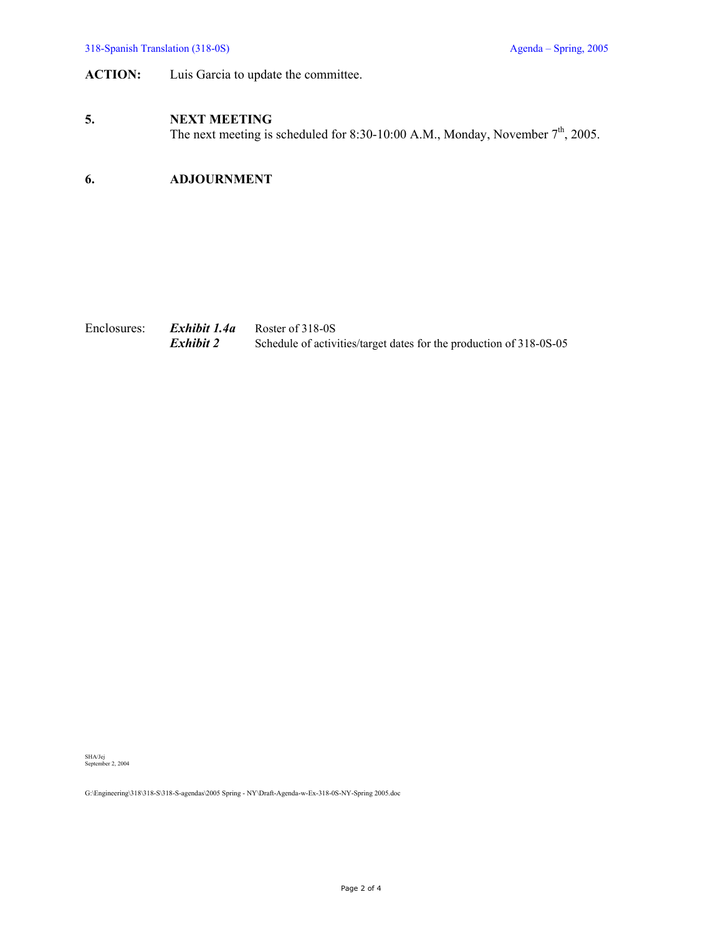# **ACTION:** Luis Garcia to update the committee.

#### **5. NEXT MEETING**

The next meeting is scheduled for 8:30-10:00 A.M., Monday, November  $7<sup>th</sup>$ , 2005.

# **6. ADJOURNMENT**

| Enclosures: | Exhibit 1.4a | Roster of 318-0S                                                    |
|-------------|--------------|---------------------------------------------------------------------|
|             | Exhibit 2    | Schedule of activities/target dates for the production of 318-0S-05 |

SHA/Jej September 2, 2004

G:\Engineering\318\318-S\318-S-agendas\2005 Spring - NY\Draft-Agenda-w-Ex-318-0S-NY-Spring 2005.doc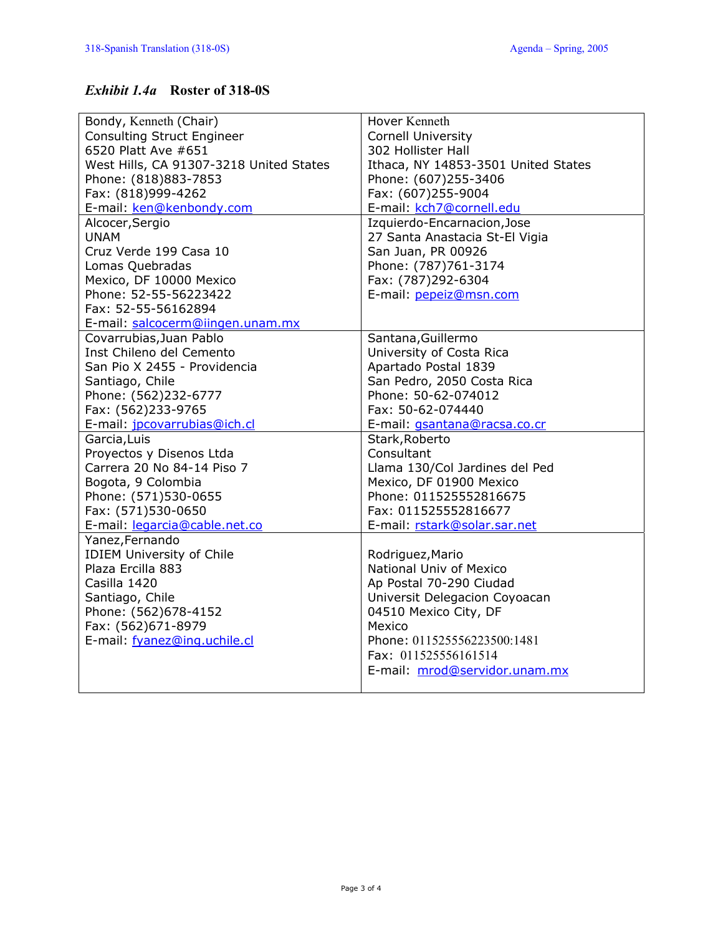# *Exhibit 1.4a* **Roster of 318-0S**

| Bondy, Kenneth (Chair)                  | Hover Kenneth                       |  |  |  |  |  |  |  |  |
|-----------------------------------------|-------------------------------------|--|--|--|--|--|--|--|--|
| <b>Consulting Struct Engineer</b>       | <b>Cornell University</b>           |  |  |  |  |  |  |  |  |
| 6520 Platt Ave #651                     | 302 Hollister Hall                  |  |  |  |  |  |  |  |  |
| West Hills, CA 91307-3218 United States | Ithaca, NY 14853-3501 United States |  |  |  |  |  |  |  |  |
| Phone: (818)883-7853                    | Phone: (607)255-3406                |  |  |  |  |  |  |  |  |
| Fax: (818)999-4262                      | Fax: (607)255-9004                  |  |  |  |  |  |  |  |  |
| E-mail: ken@kenbondy.com                | E-mail: kch7@cornell.edu            |  |  |  |  |  |  |  |  |
| Alcocer, Sergio                         | Izquierdo-Encarnacion, Jose         |  |  |  |  |  |  |  |  |
| <b>UNAM</b>                             | 27 Santa Anastacia St-El Vigia      |  |  |  |  |  |  |  |  |
| Cruz Verde 199 Casa 10                  | San Juan, PR 00926                  |  |  |  |  |  |  |  |  |
| Lomas Quebradas                         | Phone: (787)761-3174                |  |  |  |  |  |  |  |  |
| Mexico, DF 10000 Mexico                 | Fax: (787)292-6304                  |  |  |  |  |  |  |  |  |
| Phone: 52-55-56223422                   | E-mail: pepeiz@msn.com              |  |  |  |  |  |  |  |  |
| Fax: 52-55-56162894                     |                                     |  |  |  |  |  |  |  |  |
| E-mail: salcocerm@iingen.unam.mx        |                                     |  |  |  |  |  |  |  |  |
| Covarrubias, Juan Pablo                 | Santana, Guillermo                  |  |  |  |  |  |  |  |  |
| Inst Chileno del Cemento                | University of Costa Rica            |  |  |  |  |  |  |  |  |
| San Pio X 2455 - Providencia            | Apartado Postal 1839                |  |  |  |  |  |  |  |  |
| Santiago, Chile                         | San Pedro, 2050 Costa Rica          |  |  |  |  |  |  |  |  |
| Phone: (562)232-6777                    | Phone: 50-62-074012                 |  |  |  |  |  |  |  |  |
| Fax: (562)233-9765                      | Fax: 50-62-074440                   |  |  |  |  |  |  |  |  |
| E-mail: jpcovarrubias@ich.cl            | E-mail: gsantana@racsa.co.cr        |  |  |  |  |  |  |  |  |
| Garcia, Luis                            | Stark, Roberto                      |  |  |  |  |  |  |  |  |
| Proyectos y Disenos Ltda                | Consultant                          |  |  |  |  |  |  |  |  |
| Carrera 20 No 84-14 Piso 7              | Llama 130/Col Jardines del Ped      |  |  |  |  |  |  |  |  |
| Bogota, 9 Colombia                      | Mexico, DF 01900 Mexico             |  |  |  |  |  |  |  |  |
| Phone: (571)530-0655                    | Phone: 011525552816675              |  |  |  |  |  |  |  |  |
| Fax: (571)530-0650                      | Fax: 011525552816677                |  |  |  |  |  |  |  |  |
| E-mail: legarcia@cable.net.co           | E-mail: rstark@solar.sar.net        |  |  |  |  |  |  |  |  |
| Yanez, Fernando                         |                                     |  |  |  |  |  |  |  |  |
| <b>IDIEM University of Chile</b>        | Rodriguez, Mario                    |  |  |  |  |  |  |  |  |
| Plaza Ercilla 883                       | National Univ of Mexico             |  |  |  |  |  |  |  |  |
| Casilla 1420                            | Ap Postal 70-290 Ciudad             |  |  |  |  |  |  |  |  |
| Santiago, Chile                         | Universit Delegacion Coyoacan       |  |  |  |  |  |  |  |  |
| Phone: (562)678-4152                    | 04510 Mexico City, DF               |  |  |  |  |  |  |  |  |
| Fax: (562)671-8979                      | Mexico                              |  |  |  |  |  |  |  |  |
| E-mail: fyanez@ing.uchile.cl            | Phone: 011525556223500:1481         |  |  |  |  |  |  |  |  |
|                                         | Fax: 011525556161514                |  |  |  |  |  |  |  |  |
|                                         | E-mail: mrod@servidor.unam.mx       |  |  |  |  |  |  |  |  |
|                                         |                                     |  |  |  |  |  |  |  |  |